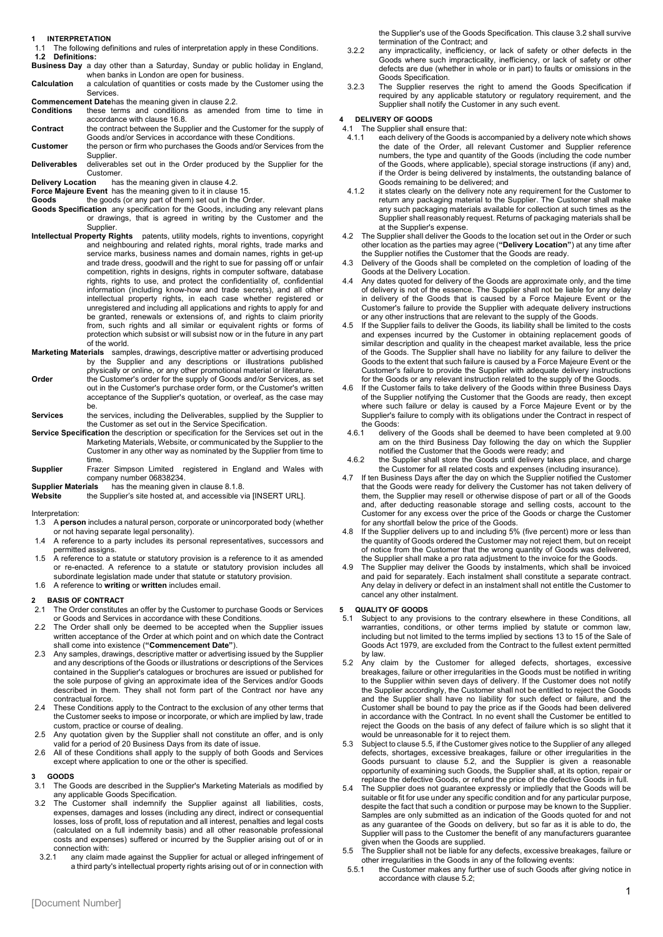**1 INTERPRETATION**

1.1 The following definitions and rules of interpretation apply in these Conditions. **1.2 Definitions:**

**Business Day** a day other than a Saturday, Sunday or public holiday in England, when banks in London are open for business.

**Calculation** a calculation of quantities or costs made by the Customer using the **Services** 

**Commencement Date**has the meaning given in clause 2.2.

- **Conditions** these terms and conditions as amended from time to time in accordance with clause 16.8.
- **Contract** the contract between the Supplier and the Customer for the supply of Goods and/or Services in accordance with these Conditions. **Customer** the person or firm who purchases the Goods and/or Services from the
- Supplier. **Deliverables** deliverables set out in the Order produced by the Supplier for the
- Customer.

**Delivery Location** has the meaning given in clause 4.2.

**Force Majeure Event** has the meaning given to it in clause 15.<br>**Goods t**he goods (or any part of them) set out in the Order.

- **Goods Specification** any specification for the Goods, including any relevant plans or drawings, that is agreed in writing by the Customer and the Supplier.
- **Intellectual Property Rights** patents, utility models, rights to inventions, copyright and neighbouring and related rights, moral rights, trade marks and service marks, business names and domain names, rights in get-up and trade dress, goodwill and the right to sue for passing off or unfair competition, rights in designs, rights in computer software, database rights, rights to use, and protect the confidentiality of, confidential information (including know-how and trade secrets), and all other intellectual property rights, in each case whether registered or unregistered and including all applications and rights to apply for and be granted, renewals or extensions of, and rights to claim priority from, such rights and all similar or equivalent rights or forms of protection which subsist or will subsist now or in the future in any part of the world.
- **Marketing Materials** samples, drawings, descriptive matter or advertising produced by the Supplier and any descriptions or illustrations published
- physically or online, or any other promotional material or literature. **Order** the Customer's order for the supply of Goods and/or Services, as set out in the Customer's purchase order form, or the Customer's written acceptance of the Supplier's quotation, or overleaf, as the case may be.
- **Services** the services, including the Deliverables, supplied by the Supplier to the Customer as set out in the Service Specification.
- **Service Specification** the description or specification for the Services set out in the Marketing Materials, Website, or communicated by the Supplier to the Customer in any other way as nominated by the Supplier from time to time.

**Supplier** Frazer Simpson Limited registered in England and Wales with company number 06838234.<br>Supplier Materials has the meaning give

**Supplier Materials** has the meaning given in clause 8.1.8.<br>**Website** the Supplier's site hosted at, and accessible v **Website** the Supplier's site hosted at, and accessible via [INSERT URL].

Interpretation:

- 1.3 A **person** includes a natural person, corporate or unincorporated body (whether or not having separate legal personality).
- 1.4 A reference to a party includes its personal representatives, successors and permitted assigns.
- 1.5 A reference to a statute or statutory provision is a reference to it as amended or re-enacted. A reference to a statute or statutory provision includes all subordinate legislation made under that statute or statutory provision.
- 1.6 A reference to **writing** or **written** includes email.

# **2 BASIS OF CONTRACT**

- The Order constitutes an offer by the Customer to purchase Goods or Services or Goods and Services in accordance with these Conditions.
- 2.2 The Order shall only be deemed to be accepted when the Supplier issues written acceptance of the Order at which point and on which date the Contract
- shall come into existence (**"Commencement Date"**). 2.3 Any samples, drawings, descriptive matter or advertising issued by the Supplier and any descriptions of the Goods or illustrations or descriptions of the Services contained in the Supplier's catalogues or brochures are issued or published for the sole purpose of giving an approximate idea of the Services and/or Goods described in them. They shall not form part of the Contract nor have any contractual force.
- 2.4 These Conditions apply to the Contract to the exclusion of any other terms that the Customer seeks to impose or incorporate, or which are implied by law, trade custom, practice or course of dealing.
- 2.5 Any quotation given by the Supplier shall not constitute an offer, and is only valid for a period of 20 Business Days from its date of issue.
- 2.6 All of these Conditions shall apply to the supply of both Goods and Services except where application to one or the other is specified.

- **3 GOODS** The Goods are described in the Supplier's Marketing Materials as modified by any applicable Goods Specification.
- <span id="page-0-0"></span>3.2 The Customer shall indemnify the Supplier against all liabilities, costs, expenses, damages and losses (including any direct, indirect or consequential losses, loss of profit, loss of reputation and all interest, penalties and legal costs (calculated on a full indemnity basis) and all other reasonable professional costs and expenses) suffered or incurred by the Supplier arising out of or in connection with:<br>3.2.1 any claim n
- any claim made against the Supplier for actual or alleged infringement of a third party's intellectual property rights arising out of or in connection with

the Supplier's use of the Goods Specification. This claus[e 3.2](#page-0-0) shall survive termination of the Contract; and

- 3.2.2 any impracticality, inefficiency, or lack of safety or other defects in the Goods where such impracticality, inefficiency, or lack of safety or other defects are due (whether in whole or in part) to faults or omissions in the Goods Specification.
- 3.2.3 The Supplier reserves the right to amend the Goods Specification if required by any applicable statutory or regulatory requirement, and the Supplier shall notify the Customer in any such event.

#### **4 DELIVERY OF GOODS**

- 4.1 The Supplier shall ensure that:<br>4.1.1 each delivery of the Goods
- each delivery of the Goods is accompanied by a delivery note which shows the date of the Order, all relevant Customer and Supplier reference numbers, the type and quantity of the Goods (including the code number of the Goods, where applicable), special storage instructions (if any) and, if the Order is being delivered by instalments, the outstanding balance of Goods remaining to be delivered; and
- 4.1.2 it states clearly on the delivery note any requirement for the Customer to return any packaging material to the Supplier. The Customer shall make any such packaging materials available for collection at such times as the Supplier shall reasonably request. Returns of packaging materials shall be at the Supplier's expense.
- 4.2 The Supplier shall deliver the Goods to the location set out in the Order or such other location as the parties may agree (**"Delivery Location"**) at any time after the Supplier notifies the Customer that the Goods are ready.
- 4.3 Delivery of the Goods shall be completed on the completion of loading of the Goods at the Delivery Location.
- Any dates quoted for delivery of the Goods are approximate only, and the time of delivery is not of the essence. The Supplier shall not be liable for any delay in delivery of the Goods that is caused by a Force Majeure Event or the Customer's failure to provide the Supplier with adequate delivery instructions or any other instructions that are relevant to the supply of the Goods.
- 4.5 If the Supplier fails to deliver the Goods, its liability shall be limited to the costs and expenses incurred by the Customer in obtaining replacement goods of similar description and quality in the cheapest market available, less the price of the Goods. The Supplier shall have no liability for any failure to deliver the Goods to the extent that such failure is caused by a Force Majeure Event or the Customer's failure to provide the Supplier with adequate delivery instructions for the Goods or any relevant instruction related to the supply of the Goods.
- 4.6 If the Customer fails to take delivery of the Goods within three Business Days of the Supplier notifying the Customer that the Goods are ready, then except where such failure or delay is caused by a Force Majeure Event or by the Supplier's failure to comply with its obligations under the Contract in respect of the Goods:<br>4.6.1 delive
- delivery of the Goods shall be deemed to have been completed at 9.00 am on the third Business Day following the day on which the Supplier notified the Customer that the Goods were ready; and
- 4.6.2 the Supplier shall store the Goods until delivery takes place, and charge the Customer for all related costs and expenses (including insurance).
- 4.7 If ten Business Days after the day on which the Supplier notified the Customer that the Goods were ready for delivery the Customer has not taken delivery of them, the Supplier may resell or otherwise dispose of part or all of the Goods and, after deducting reasonable storage and selling costs, account to the Customer for any excess over the price of the Goods or charge the Customer for any shortfall below the price of the Goods.
- 4.8 If the Supplier delivers up to and including 5% (five percent) more or less than the quantity of Goods ordered the Customer may not reject them, but on receipt of notice from the Customer that the wrong quantity of Goods was delivered, the Supplier shall make a pro rata adjustment to the invoice for the Goods.
- 4.9 The Supplier may deliver the Goods by instalments, which shall be invoiced and paid for separately. Each instalment shall constitute a separate contract. Any delay in delivery or defect in an instalment shall not entitle the Customer to cancel any other instalment.

## <span id="page-0-3"></span>**5 QUALITY OF GOODS**

- Subject to any provisions to the contrary elsewhere in these Conditions, all warranties, conditions, or other terms implied by statute or common law, including but not limited to the terms implied by sections 13 to 15 of the Sale of Goods Act 1979, are excluded from the Contract to the fullest extent permitted by law.
- <span id="page-0-2"></span>5.2 Any claim by the Customer for alleged defects, shortages, excessive breakages, failure or other irregularities in the Goods must be notified in writing to the Supplier within seven days of delivery. If the Customer does not notify the Supplier accordingly, the Customer shall not be entitled to reject the Goods and the Supplier shall have no liability for such defect or failure, and the Customer shall be bound to pay the price as if the Goods had been delivered in accordance with the Contract. In no event shall the Customer be entitled to reject the Goods on the basis of any defect of failure which is so slight that it would be unreasonable for it to reject them.
- 5.3 Subject to clause [5.5,](#page-0-1) if the Customer gives notice to the Supplier of any alleged defects, shortages, excessive breakages, failure or other irregularities in the Goods pursuant to clause [5.2,](#page-0-2) and the Supplier is given a reasonable opportunity of examining such Goods, the Supplier shall, at its option, repair or replace the defective Goods, or refund the price of the defective Goods in full.
- 5.4 The Supplier does not guarantee expressly or impliedly that the Goods will be suitable or fit for use under any specific condition and for any particular purpose, despite the fact that such a condition or purpose may be known to the Supplier. Samples are only submitted as an indication of the Goods quoted for and not as any guarantee of the Goods on delivery, but so far as it is able to do, the Supplier will pass to the Customer the benefit of any manufacturers guarantee
- <span id="page-0-1"></span>given when the Goods are supplied. 5.5 The Supplier shall not be liable for any defects, excessive breakages, failure or other irregularities in the Goods in any of the following events:<br>5.5.1 the Customer makes any further use of such Goods after
- the Customer makes any further use of such Goods after giving notice in accordance with clause [5.2;](#page-0-2)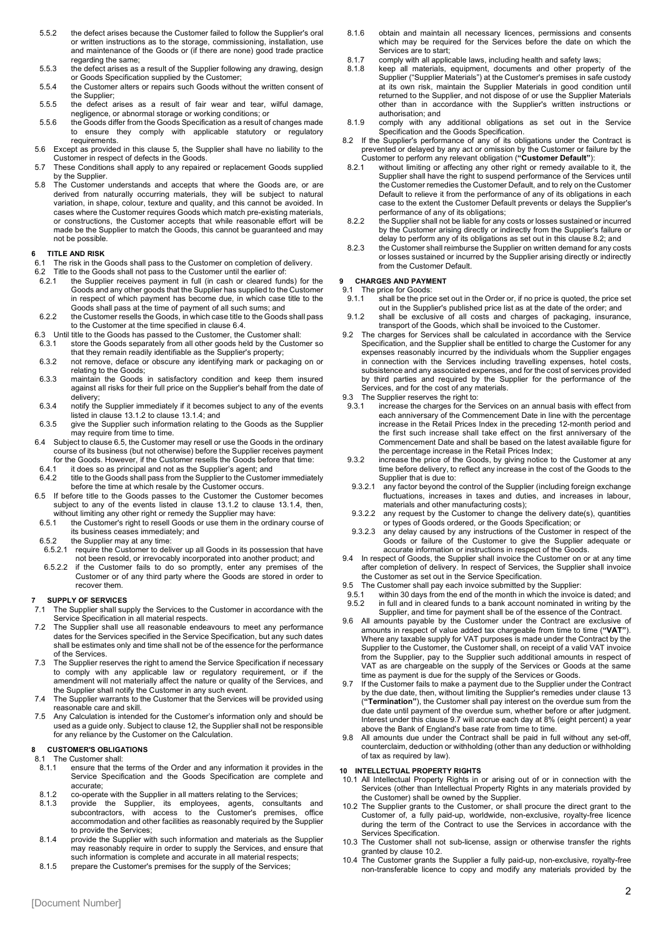- 5.5.2 the defect arises because the Customer failed to follow the Supplier's oral or written instructions as to the storage, commissioning, installation, use and maintenance of the Goods or (if there are none) good trade practice regarding the same;
- 5.5.3 the defect arises as a result of the Supplier following any drawing, design or Goods Specification supplied by the Customer;
- 5.5.4 the Customer alters or repairs such Goods without the written consent of the Supplier;
- 5.5.5 the defect arises as a result of fair wear and tear, wilful damage, negligence, or abnormal storage or working conditions; or 5.5.6 the Goods differ from the Goods Specification as a result of changes made
- to ensure they comply with applicable statutory or regulatory requirements.
- 5.6 Except as provided in this clause [5,](#page-0-3) the Supplier shall have no liability to the Customer in respect of defects in the Goods.
- 5.7 These Conditions shall apply to any repaired or replacement Goods supplied by the Supplier.
- 5.8 The Customer understands and accepts that where the Goods are, or are derived from naturally occurring materials, they will be subject to natural variation, in shape, colour, texture and quality, and this cannot be avoided. In cases where the Customer requires Goods which match pre-existing materials, or constructions, the Customer accepts that while reasonable effort will be made be the Supplier to match the Goods, this cannot be guaranteed and may not be possible.

#### **6 TITLE AND RISK**

- 6.1 The risk in the Goods shall pass to the Customer on completion of delivery.
- 6.1 The risk in the Goods shall not pass to the Customer until the earlier of:<br>6.2. Title to the Goods shall not pass to the Customer until the earlier of:<br>6.2.1 the Supplier receives payment in full (in cash or cleared fu
- the Supplier receives payment in full (in cash or cleared funds) for the Goods and any other goods that the Supplier has supplied to the Customer in respect of which payment has become due, in which case title to the Goods shall pass at the time of payment of all such sums; and
- 6.2.2 the Customer resells the Goods, in which case title to the Goods shall pass to the Customer at the time specified in claus[e 6.4.](#page-1-0)
- 6.3 Until title to the Goods has passed to the Customer, the Customer shall:<br>6.3.1 store the Goods separately from all other goods held by the Custor
- store the Goods separately from all other goods held by the Customer so that they remain readily identifiable as the Supplier's property;
- 6.3.2 not remove, deface or obscure any identifying mark or packaging on or relating to the Goods;
- 6.3.3 maintain the Goods in satisfactory condition and keep them insured against all risks for their full price on the Supplier's behalf from the date of delivery;
- 6.3.4 notify the Supplier immediately if it becomes subject to any of the events listed in claus[e 13.1.2](#page-2-0) to clause [13.1.4;](#page-2-1) and
- 6.3.5 give the Supplier such information relating to the Goods as the Supplier may require from time to time.
- <span id="page-1-0"></span>6.4 Subject to claus[e 6.5,](#page-1-1) the Customer may resell or use the Goods in the ordinary course of its business (but not otherwise) before the Supplier receives payment for the Goods. However, if the Customer resells the Goods before that time:<br>6.4.1 if does so as principal and not as the Supplier's agent: and
- 6.4.1 it does so as principal and not as the Supplier's agent; and 6.4.2 title to the Goods shall pass from the Supplier to the Custom
- title to the Goods shall pass from the Supplier to the Customer immediately before the time at which resale by the Customer occurs.
- <span id="page-1-1"></span>6.5 If before title to the Goods passes to the Customer the Customer becomes subject to any of the events listed in clause [13.1.2](#page-2-0) to clause [13.1.4,](#page-2-1) then, without limiting any other right or remedy the Supplier may have:
- 6.5.1 the Customer's right to resell Goods or use them in the ordinary course of
- its business ceases immediately; and
- 6.5.2 the Supplier may at any time:<br>6.5.2.1 require the Customer to delive
- require the Customer to deliver up all Goods in its possession that have not been resold, or irrevocably incorporated into another product; and
- 6.5.2.2 if the Customer fails to do so promptly, enter any premises of the Customer or of any third party where the Goods are stored in order to recover them.

# **7 SUPPLY OF SERVICES**

- The Supplier shall supply the Services to the Customer in accordance with the Service Specification in all material respects.
- The Supplier shall use all reasonable endeavours to meet any performance dates for the Services specified in the Service Specification, but any such dates shall be estimates only and time shall not be of the essence for the performance of the Services.
- 7.3 The Supplier reserves the right to amend the Service Specification if necessary to comply with any applicable law or regulatory requirement, or if the amendment will not materially affect the nature or quality of the Services, and the Supplier shall notify the Customer in any such event.
- 7.4 The Supplier warrants to the Customer that the Services will be provided using reasonable care and skill.
- 7.5 Any Calculation is intended for the Customer's information only and should be used as a guide only. Subject to clause [12,](#page-2-2) the Supplier shall not be responsible for any reliance by the Customer on the Calculation.

#### **8 CUSTOMER'S OBLIGATIONS**

8.1 The Customer shall:

- 8.1.1 ensure that the terms of the Order and any information it provides in the Service Specification and the Goods Specification are complete and accurate;
- 8.1.2 co-operate with the Supplier in all matters relating to the Services;
- 8.1.3 provide the Supplier, its employees, agents, consultants and subcontractors, with access to the Customer's premises, office accommodation and other facilities as reasonably required by the Supplier to provide the Services;
- 8.1.4 provide the Supplier with such information and materials as the Supplier may reasonably require in order to supply the Services, and ensure that such information is complete and accurate in all material respects;
- 8.1.5 prepare the Customer's premises for the supply of the Services;
- 8.1.6 obtain and maintain all necessary licences, permissions and consents which may be required for the Services before the date on which the Services are to start:
- 8.1.7 comply with all applicable laws, including health and safety laws;<br>8.1.8 keep all materials, equipment, documents and other propert
- keep all materials, equipment, documents and other property of the Supplier ("Supplier Materials") at the Customer's premises in safe custody at its own risk, maintain the Supplier Materials in good condition until returned to the Supplier, and not dispose of or use the Supplier Materials other than in accordance with the Supplier's written instructions or authorisation; and
- 8.1.9 comply with any additional obligations as set out in the Service Specification and the Goods Specification.
- <span id="page-1-2"></span>8.2 If the Supplier's performance of any of its obligations under the Contract is prevented or delayed by any act or omission by the Customer or failure by the Customer to perform any relevant obligation (**"Customer Default"**):
- without limiting or affecting any other right or remedy available to it, the Supplier shall have the right to suspend performance of the Services until the Customer remedies the Customer Default, and to rely on the Customer Default to relieve it from the performance of any of its obligations in each case to the extent the Customer Default prevents or delays the Supplier's performance of any of its obligations;
- 8.2.2 the Supplier shall not be liable for any costs or losses sustained or incurred by the Customer arising directly or indirectly from the Supplier's failure or delay to perform any of its obligations as set out in this clause [8.2;](#page-1-2) and
- 8.2.3 the Customer shall reimburse the Supplier on written demand for any costs or losses sustained or incurred by the Supplier arising directly or indirectly from the Customer Default.

# **9 CHARGES AND PAYMENT**<br>9.1 The price for Goods:

- 9.1 The price for Goods:<br>9.1.1 shall be the pric shall be the price set out in the Order or, if no price is quoted, the price set out in the Supplier's published price list as at the date of the order; and
- 9.1.2 shall be exclusive of all costs and charges of packaging, insurance, transport of the Goods, which shall be invoiced to the Customer.
- 9.2 The charges for Services shall be calculated in accordance with the Service Specification, and the Supplier shall be entitled to charge the Customer for any expenses reasonably incurred by the individuals whom the Supplier engages in connection with the Services including travelling expenses, hotel costs, subsistence and any associated expenses, and for the cost of services provided by third parties and required by the Supplier for the performance of the Services, and for the cost of any materials.
- 9.3 The Supplier reserves the right to:<br>9.3.1 increase the charges for the
- increase the charges for the Services on an annual basis with effect from each anniversary of the Commencement Date in line with the percentage increase in the Retail Prices Index in the preceding 12-month period and the first such increase shall take effect on the first anniversary of the Commencement Date and shall be based on the latest available figure for the percentage increase in the Retail Prices Index;
- 9.3.2 increase the price of the Goods, by giving notice to the Customer at any time before delivery, to reflect any increase in the cost of the Goods to the Supplier that is due to:<br>9.3.2.1 any factor beyond the
- any factor beyond the control of the Supplier (including foreign exchange fluctuations, increases in taxes and duties, and increases in labour, materials and other manufacturing costs);
- 9.3.2.2 any request by the Customer to change the delivery date(s), quantities or types of Goods ordered, or the Goods Specification; or
- 9.3.2.3 any delay caused by any instructions of the Customer in respect of the Goods or failure of the Customer to give the Supplier adequate or accurate information or instructions in respect of the Goods.
- 9.4 In respect of Goods, the Supplier shall invoice the Customer on or at any time after completion of delivery. In respect of Services, the Supplier shall invoice the Customer as set out in the Service Specification.
- 9.5 The Customer shall pay each invoice submitted by the Supplier:<br>9.5.1 within 30 days from the end of the month in which the invoice
- 9.5.1 within 30 days from the end of the month in which the invoice is dated; and<br>9.5.2 in full and in cleared funds to a bank account nominated in writing by the in full and in cleared funds to a bank account nominated in writing by the Supplier, and time for payment shall be of the essence of the Contract.
- 9.6 All amounts payable by the Customer under the Contract are exclusive of amounts in respect of value added tax chargeable from time to time (**"VAT"**). Where any taxable supply for VAT purposes is made under the Contract by the Supplier to the Customer, the Customer shall, on receipt of a valid VAT invoice from the Supplier, pay to the Supplier such additional amounts in respect of VAT as are chargeable on the supply of the Services or Goods at the same time as payment is due for the supply of the Services or Goods.
- <span id="page-1-3"></span>If the Customer fails to make a payment due to the Supplier under the Contract by the due date, then, without limiting the Supplier's remedies under claus[e 13](#page-2-3) (**"Termination"**), the Customer shall pay interest on the overdue sum from the due date until payment of the overdue sum, whether before or after judgment. Interest under this claus[e 9.7](#page-1-3) will accrue each day at 8% (eight percent) a year above the Bank of England's base rate from time to time
- 9.8 All amounts due under the Contract shall be paid in full without any set-off, counterclaim, deduction or withholding (other than any deduction or withholding of tax as required by law).

### **10 INTELLECTUAL PROPERTY RIGHTS**

- 10.1 All Intellectual Property Rights in or arising out of or in connection with the Services (other than Intellectual Property Rights in any materials provided by the Customer) shall be owned by the Supplier.
- <span id="page-1-4"></span>10.2 The Supplier grants to the Customer, or shall procure the direct grant to the Customer of, a fully paid-up, worldwide, non-exclusive, royalty-free licence during the term of the Contract to use the Services in accordance with the Services Specification.
- 10.3 The Customer shall not sub-license, assign or otherwise transfer the rights granted by clause [10.2.](#page-1-4)
- 10.4 The Customer grants the Supplier a fully paid-up, non-exclusive, royalty-free non-transferable licence to copy and modify any materials provided by the